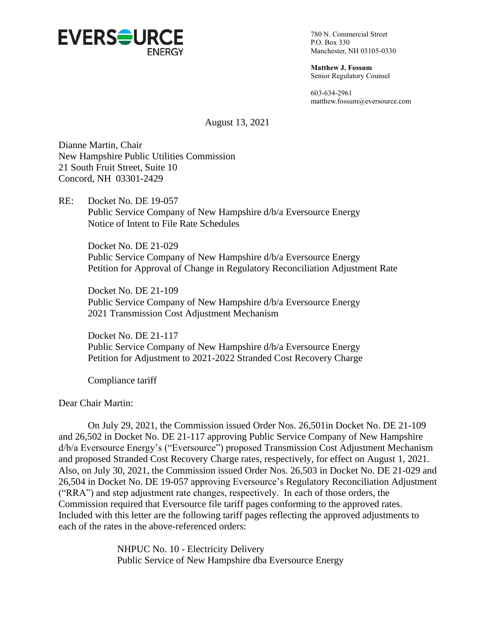

780 N. Commercial Street P.O. Box 330 Manchester, NH 03105-0330

**Matthew J. Fossum** Senior Regulatory Counsel

603-634-2961 matthew.fossum@eversource.com

August 13, 2021

Dianne Martin, Chair New Hampshire Public Utilities Commission 21 South Fruit Street, Suite 10 Concord, NH 03301-2429

RE: Docket No. DE 19-057 Public Service Company of New Hampshire d/b/a Eversource Energy Notice of Intent to File Rate Schedules

Docket No. DE 21-029 Public Service Company of New Hampshire d/b/a Eversource Energy Petition for Approval of Change in Regulatory Reconciliation Adjustment Rate

Docket No. DE 21-109 Public Service Company of New Hampshire d/b/a Eversource Energy 2021 Transmission Cost Adjustment Mechanism

Docket No. DE 21-117 Public Service Company of New Hampshire d/b/a Eversource Energy Petition for Adjustment to 2021-2022 Stranded Cost Recovery Charge

Compliance tariff

Dear Chair Martin:

On July 29, 2021, the Commission issued Order Nos. 26,501in Docket No. DE 21-109 and 26,502 in Docket No. DE 21-117 approving Public Service Company of New Hampshire d/b/a Eversource Energy's ("Eversource") proposed Transmission Cost Adjustment Mechanism and proposed Stranded Cost Recovery Charge rates, respectively, for effect on August 1, 2021. Also, on July 30, 2021, the Commission issued Order Nos. 26,503 in Docket No. DE 21-029 and 26,504 in Docket No. DE 19-057 approving Eversource's Regulatory Reconciliation Adjustment ("RRA") and step adjustment rate changes, respectively. In each of those orders, the Commission required that Eversource file tariff pages conforming to the approved rates. Included with this letter are the following tariff pages reflecting the approved adjustments to each of the rates in the above-referenced orders:

> NHPUC No. 10 - Electricity Delivery Public Service of New Hampshire dba Eversource Energy